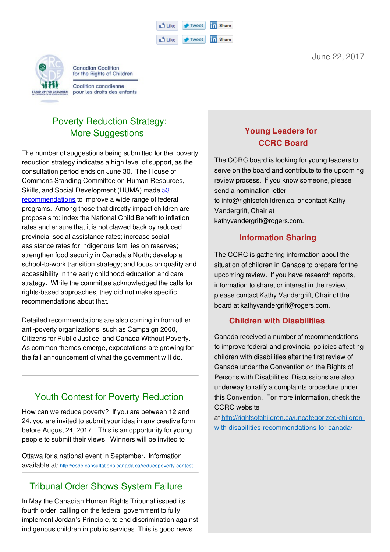| n <sup>4</sup> Like | $+$ Tweet                   | <b>in</b> Share |
|---------------------|-----------------------------|-----------------|
| r <sup>4</sup> Like | $\blacktriangleright$ Tweet | <b>in</b> Share |



**Canadian Coalition** for the Rights of Children

## Poverty Reduction Strategy: **More Suggestions**

The number of suggestions being submitted for the poverty reduction strategy indicates a high level of support, as the consultation period ends on June 30. The House of Commons Standing Committee on Human Resources, Skills, and Social Development (HUMA) made 53 recommendations to improve a wide range of federal programs. Among those that directly impact children are proposals to: index the National Child Benefit to inflation rates and ensure that it is not clawed back by reduced provincial social assistance rates; increase social assistance rates for indigenous families on reserves; strengthen food security in Canada's North; develop a school-to-work transition strategy; and focus on quality and accessibility in the early childhood education and care strategy. While the committee acknowledged the calls for rights-based approaches, they did not make specific recommendations about that.

Detailed recommendations are also coming in from other anti-poverty organizations, such as Campaign 2000, Citizens for Public Justice, and Canada Without Poverty. As common themes emerge, expectations are growing for the fall announcement of what the government will do.

## Youth Contest for Poverty Reduction

How can we reduce poverty? If you are between 12 and 24, you are invited to submit your idea in any creative form before August 24, 2017. This is an opportunity for young people to submit their views. Winners will be invited to

Ottawa for a national event in September. Information available at: http://esdc-consultations.canada.ca/reducepoverty-contest.

# Tribunal Order Shows System Failure

In May the Canadian Human Rights Tribunal issued its fourth order, calling on the federal government to fully implement Jordan's Principle, to end discrimination against indigenous children in public services. This is good news

### **Young Leaders for CCRC Board**

The CCRC board is looking for young leaders to serve on the board and contribute to the upcoming review process. If you know someone, please send a nomination letter to info@rightsofchildren.ca, or contact Kathy Vandergrift, Chair at kathyvandergrift@rogers.com.

#### **Information Sharing**

The CCRC is gathering information about the situation of children in Canada to prepare for the upcoming review. If you have research reports, information to share, or interest in the review, please contact Kathy Vandergrift, Chair of the board at kathyvandergrift@rogers.com.

### **Children with Disabilities**

Canada received a number of recommendations to improve federal and provincial policies affecting children with disabilities after the first review of Canada under the Convention on the Rights of Persons with Disabilities. Discussions are also underway to ratify a complaints procedure under this Convention. For more information, check the CCRC website

at http://rightsofchildren.ca/uncategorized/childrenwith-disabilities-recommendations-for-canada/